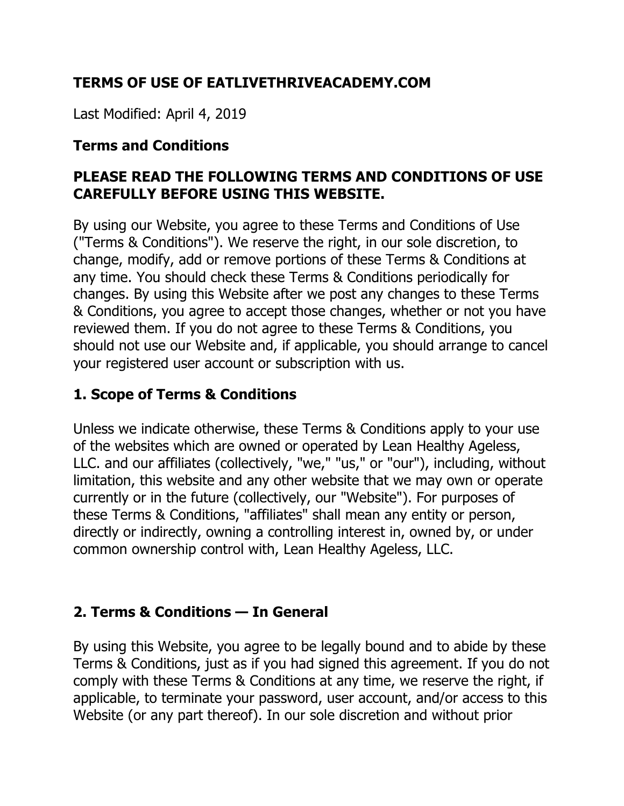# **TERMS OF USE OF EATLIVETHRIVEACADEMY.COM**

Last Modified: April 4, 2019

#### **Terms and Conditions**

### **PLEASE READ THE FOLLOWING TERMS AND CONDITIONS OF USE CAREFULLY BEFORE USING THIS WEBSITE.**

By using our Website, you agree to these Terms and Conditions of Use ("Terms & Conditions"). We reserve the right, in our sole discretion, to change, modify, add or remove portions of these Terms & Conditions at any time. You should check these Terms & Conditions periodically for changes. By using this Website after we post any changes to these Terms & Conditions, you agree to accept those changes, whether or not you have reviewed them. If you do not agree to these Terms & Conditions, you should not use our Website and, if applicable, you should arrange to cancel your registered user account or subscription with us.

### **1. Scope of Terms & Conditions**

Unless we indicate otherwise, these Terms & Conditions apply to your use of the websites which are owned or operated by Lean Healthy Ageless, LLC. and our affiliates (collectively, "we," "us," or "our"), including, without limitation, this website and any other website that we may own or operate currently or in the future (collectively, our "Website"). For purposes of these Terms & Conditions, "affiliates" shall mean any entity or person, directly or indirectly, owning a controlling interest in, owned by, or under common ownership control with, Lean Healthy Ageless, LLC.

## **2. Terms & Conditions — In General**

By using this Website, you agree to be legally bound and to abide by these Terms & Conditions, just as if you had signed this agreement. If you do not comply with these Terms & Conditions at any time, we reserve the right, if applicable, to terminate your password, user account, and/or access to this Website (or any part thereof). In our sole discretion and without prior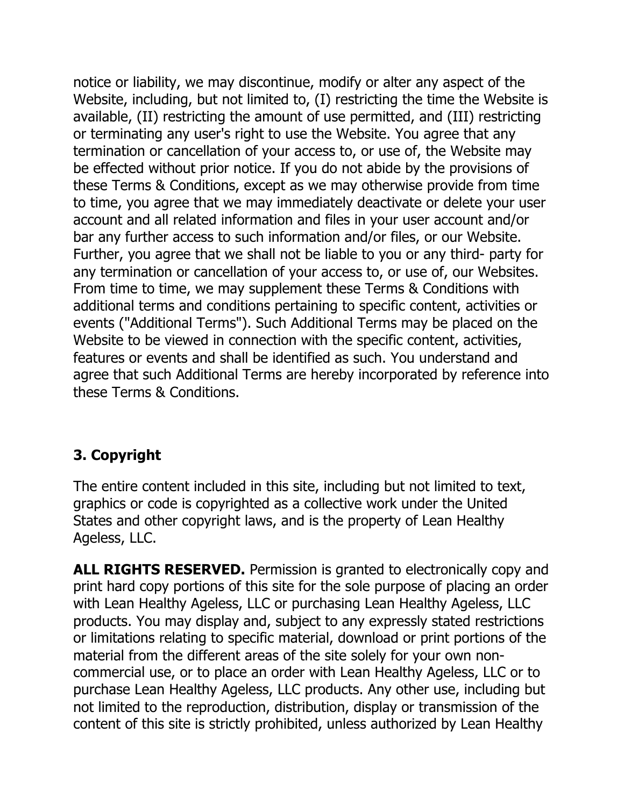notice or liability, we may discontinue, modify or alter any aspect of the Website, including, but not limited to, (I) restricting the time the Website is available, (II) restricting the amount of use permitted, and (III) restricting or terminating any user's right to use the Website. You agree that any termination or cancellation of your access to, or use of, the Website may be effected without prior notice. If you do not abide by the provisions of these Terms & Conditions, except as we may otherwise provide from time to time, you agree that we may immediately deactivate or delete your user account and all related information and files in your user account and/or bar any further access to such information and/or files, or our Website. Further, you agree that we shall not be liable to you or any third- party for any termination or cancellation of your access to, or use of, our Websites. From time to time, we may supplement these Terms & Conditions with additional terms and conditions pertaining to specific content, activities or events ("Additional Terms"). Such Additional Terms may be placed on the Website to be viewed in connection with the specific content, activities, features or events and shall be identified as such. You understand and agree that such Additional Terms are hereby incorporated by reference into these Terms & Conditions.

# **3. Copyright**

The entire content included in this site, including but not limited to text, graphics or code is copyrighted as a collective work under the United States and other copyright laws, and is the property of Lean Healthy Ageless, LLC.

**ALL RIGHTS RESERVED.** Permission is granted to electronically copy and print hard copy portions of this site for the sole purpose of placing an order with Lean Healthy Ageless, LLC or purchasing Lean Healthy Ageless, LLC products. You may display and, subject to any expressly stated restrictions or limitations relating to specific material, download or print portions of the material from the different areas of the site solely for your own noncommercial use, or to place an order with Lean Healthy Ageless, LLC or to purchase Lean Healthy Ageless, LLC products. Any other use, including but not limited to the reproduction, distribution, display or transmission of the content of this site is strictly prohibited, unless authorized by Lean Healthy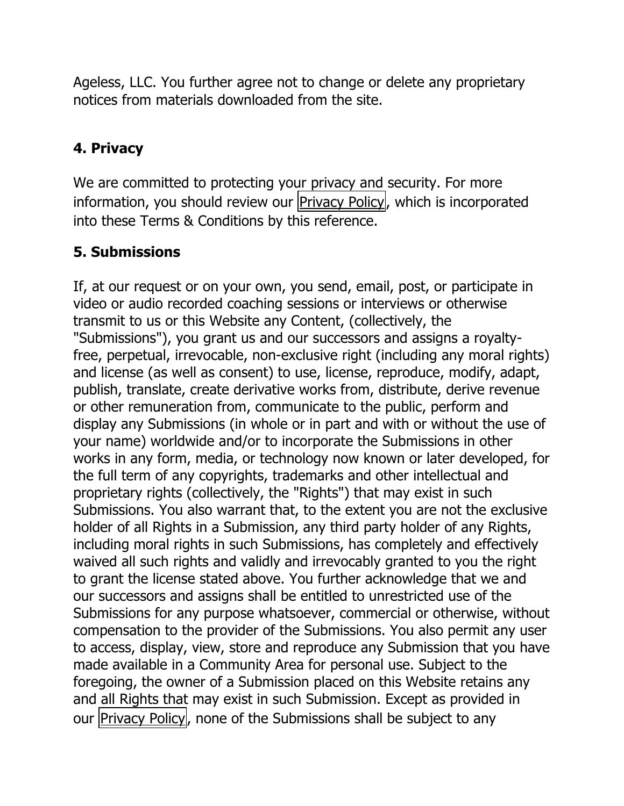Ageless, LLC. You further agree not to change or delete any proprietary notices from materials downloaded from the site.

## **4. Privacy**

We are committed to protecting your privacy and security. For more information, you should review our Privacy Policy, which is incorporated into these Terms & Conditions by this reference.

# **5. Submissions**

If, at our request or on your own, you send, email, post, or participate in video or audio recorded coaching sessions or interviews or otherwise transmit to us or this Website any Content, (collectively, the "Submissions"), you grant us and our successors and assigns a royaltyfree, perpetual, irrevocable, non-exclusive right (including any moral rights) and license (as well as consent) to use, license, reproduce, modify, adapt, publish, translate, create derivative works from, distribute, derive revenue or other remuneration from, communicate to the public, perform and display any Submissions (in whole or in part and with or without the use of your name) worldwide and/or to incorporate the Submissions in other works in any form, media, or technology now known or later developed, for the full term of any copyrights, trademarks and other intellectual and proprietary rights (collectively, the "Rights") that may exist in such Submissions. You also warrant that, to the extent you are not the exclusive holder of all Rights in a Submission, any third party holder of any Rights, including moral rights in such Submissions, has completely and effectively waived all such rights and validly and irrevocably granted to you the right to grant the license stated above. You further acknowledge that we and our successors and assigns shall be entitled to unrestricted use of the Submissions for any purpose whatsoever, commercial or otherwise, without compensation to the provider of the Submissions. You also permit any user to access, display, view, store and reproduce any Submission that you have made available in a Community Area for personal use. Subject to the foregoing, the owner of a Submission placed on this Website retains any and all Rights that may exist in such Submission. Except as provided in our Privacy Policy, none of the Submissions shall be subject to any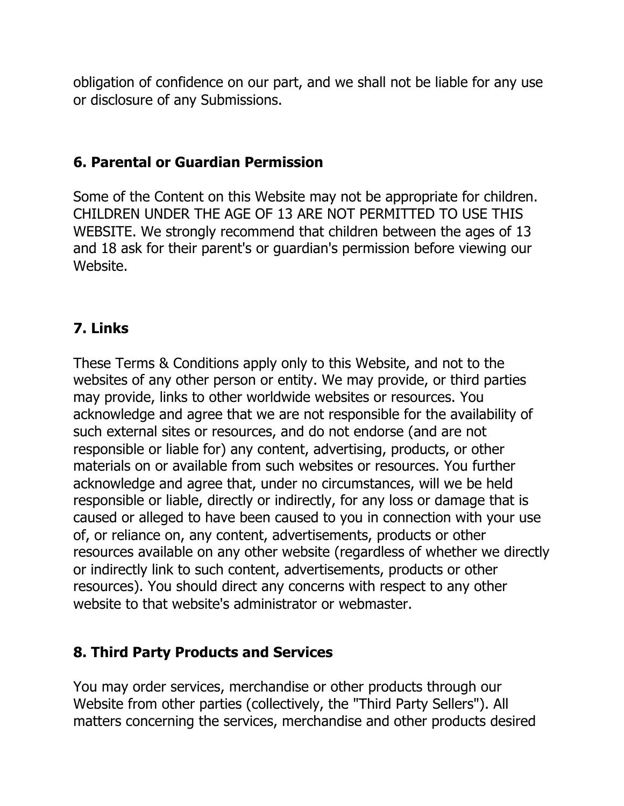obligation of confidence on our part, and we shall not be liable for any use or disclosure of any Submissions.

#### **6. Parental or Guardian Permission**

Some of the Content on this Website may not be appropriate for children. CHILDREN UNDER THE AGE OF 13 ARE NOT PERMITTED TO USE THIS WEBSITE. We strongly recommend that children between the ages of 13 and 18 ask for their parent's or guardian's permission before viewing our Website.

## **7. Links**

These Terms & Conditions apply only to this Website, and not to the websites of any other person or entity. We may provide, or third parties may provide, links to other worldwide websites or resources. You acknowledge and agree that we are not responsible for the availability of such external sites or resources, and do not endorse (and are not responsible or liable for) any content, advertising, products, or other materials on or available from such websites or resources. You further acknowledge and agree that, under no circumstances, will we be held responsible or liable, directly or indirectly, for any loss or damage that is caused or alleged to have been caused to you in connection with your use of, or reliance on, any content, advertisements, products or other resources available on any other website (regardless of whether we directly or indirectly link to such content, advertisements, products or other resources). You should direct any concerns with respect to any other website to that website's administrator or webmaster.

#### **8. Third Party Products and Services**

You may order services, merchandise or other products through our Website from other parties (collectively, the "Third Party Sellers"). All matters concerning the services, merchandise and other products desired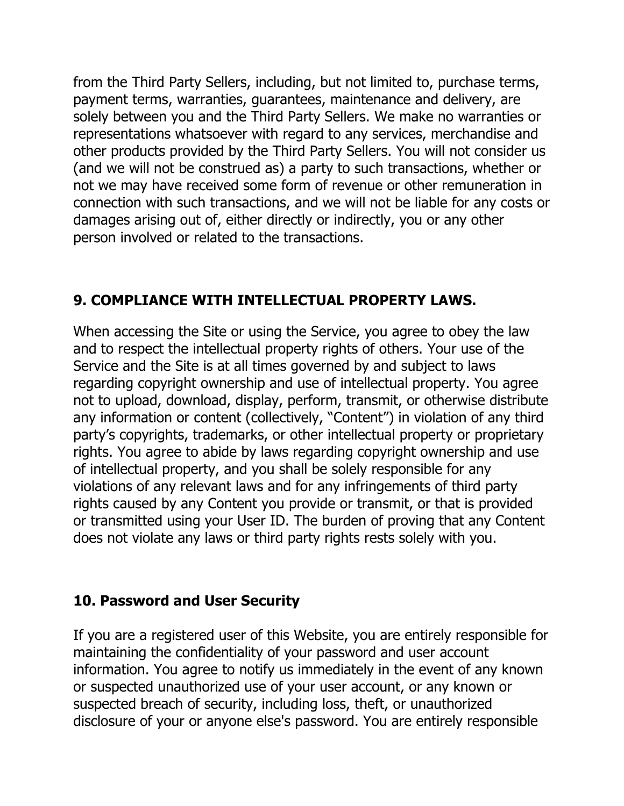from the Third Party Sellers, including, but not limited to, purchase terms, payment terms, warranties, guarantees, maintenance and delivery, are solely between you and the Third Party Sellers. We make no warranties or representations whatsoever with regard to any services, merchandise and other products provided by the Third Party Sellers. You will not consider us (and we will not be construed as) a party to such transactions, whether or not we may have received some form of revenue or other remuneration in connection with such transactions, and we will not be liable for any costs or damages arising out of, either directly or indirectly, you or any other person involved or related to the transactions.

# **9. COMPLIANCE WITH INTELLECTUAL PROPERTY LAWS.**

When accessing the Site or using the Service, you agree to obey the law and to respect the intellectual property rights of others. Your use of the Service and the Site is at all times governed by and subject to laws regarding copyright ownership and use of intellectual property. You agree not to upload, download, display, perform, transmit, or otherwise distribute any information or content (collectively, "Content") in violation of any third party's copyrights, trademarks, or other intellectual property or proprietary rights. You agree to abide by laws regarding copyright ownership and use of intellectual property, and you shall be solely responsible for any violations of any relevant laws and for any infringements of third party rights caused by any Content you provide or transmit, or that is provided or transmitted using your User ID. The burden of proving that any Content does not violate any laws or third party rights rests solely with you.

# **10. Password and User Security**

If you are a registered user of this Website, you are entirely responsible for maintaining the confidentiality of your password and user account information. You agree to notify us immediately in the event of any known or suspected unauthorized use of your user account, or any known or suspected breach of security, including loss, theft, or unauthorized disclosure of your or anyone else's password. You are entirely responsible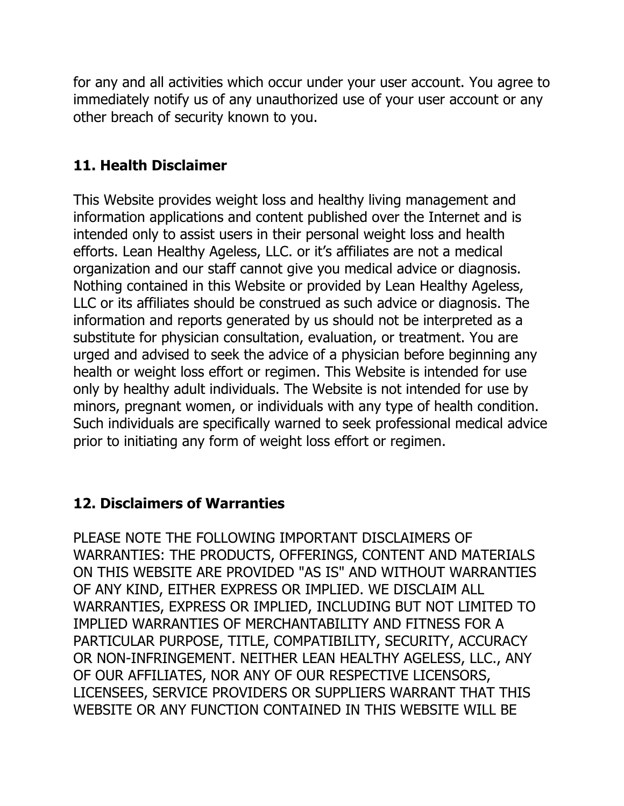for any and all activities which occur under your user account. You agree to immediately notify us of any unauthorized use of your user account or any other breach of security known to you.

## **11. Health Disclaimer**

This Website provides weight loss and healthy living management and information applications and content published over the Internet and is intended only to assist users in their personal weight loss and health efforts. Lean Healthy Ageless, LLC. or it's affiliates are not a medical organization and our staff cannot give you medical advice or diagnosis. Nothing contained in this Website or provided by Lean Healthy Ageless, LLC or its affiliates should be construed as such advice or diagnosis. The information and reports generated by us should not be interpreted as a substitute for physician consultation, evaluation, or treatment. You are urged and advised to seek the advice of a physician before beginning any health or weight loss effort or regimen. This Website is intended for use only by healthy adult individuals. The Website is not intended for use by minors, pregnant women, or individuals with any type of health condition. Such individuals are specifically warned to seek professional medical advice prior to initiating any form of weight loss effort or regimen.

## **12. Disclaimers of Warranties**

PLEASE NOTE THE FOLLOWING IMPORTANT DISCLAIMERS OF WARRANTIES: THE PRODUCTS, OFFERINGS, CONTENT AND MATERIALS ON THIS WEBSITE ARE PROVIDED "AS IS" AND WITHOUT WARRANTIES OF ANY KIND, EITHER EXPRESS OR IMPLIED. WE DISCLAIM ALL WARRANTIES, EXPRESS OR IMPLIED, INCLUDING BUT NOT LIMITED TO IMPLIED WARRANTIES OF MERCHANTABILITY AND FITNESS FOR A PARTICULAR PURPOSE, TITLE, COMPATIBILITY, SECURITY, ACCURACY OR NON-INFRINGEMENT. NEITHER LEAN HEALTHY AGELESS, LLC., ANY OF OUR AFFILIATES, NOR ANY OF OUR RESPECTIVE LICENSORS, LICENSEES, SERVICE PROVIDERS OR SUPPLIERS WARRANT THAT THIS WEBSITE OR ANY FUNCTION CONTAINED IN THIS WEBSITE WILL BE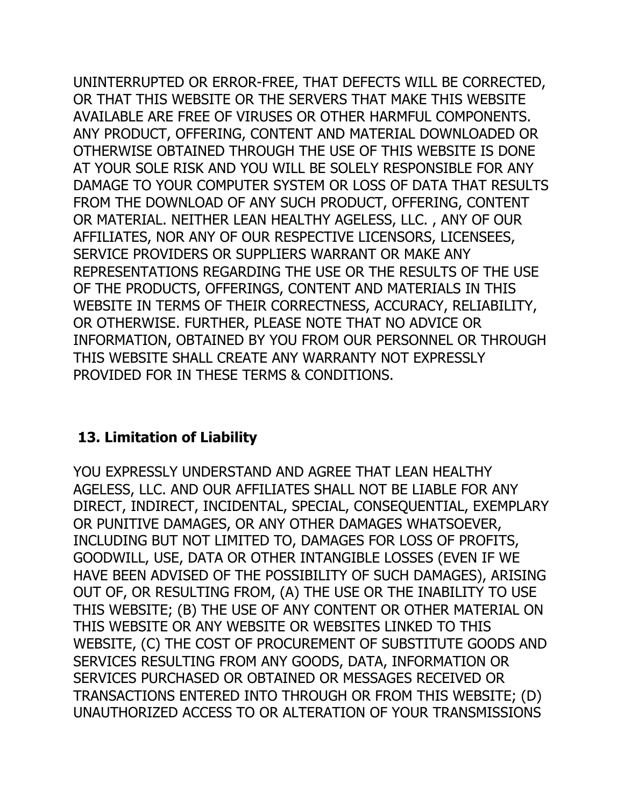UNINTERRUPTED OR ERROR-FREE, THAT DEFECTS WILL BE CORRECTED, OR THAT THIS WEBSITE OR THE SERVERS THAT MAKE THIS WEBSITE AVAILABLE ARE FREE OF VIRUSES OR OTHER HARMFUL COMPONENTS. ANY PRODUCT, OFFERING, CONTENT AND MATERIAL DOWNLOADED OR OTHERWISE OBTAINED THROUGH THE USE OF THIS WEBSITE IS DONE AT YOUR SOLE RISK AND YOU WILL BE SOLELY RESPONSIBLE FOR ANY DAMAGE TO YOUR COMPUTER SYSTEM OR LOSS OF DATA THAT RESULTS FROM THE DOWNLOAD OF ANY SUCH PRODUCT, OFFERING, CONTENT OR MATERIAL. NEITHER LEAN HEALTHY AGELESS, LLC. , ANY OF OUR AFFILIATES, NOR ANY OF OUR RESPECTIVE LICENSORS, LICENSEES, SERVICE PROVIDERS OR SUPPLIERS WARRANT OR MAKE ANY REPRESENTATIONS REGARDING THE USE OR THE RESULTS OF THE USE OF THE PRODUCTS, OFFERINGS, CONTENT AND MATERIALS IN THIS WEBSITE IN TERMS OF THEIR CORRECTNESS, ACCURACY, RELIABILITY, OR OTHERWISE. FURTHER, PLEASE NOTE THAT NO ADVICE OR INFORMATION, OBTAINED BY YOU FROM OUR PERSONNEL OR THROUGH THIS WEBSITE SHALL CREATE ANY WARRANTY NOT EXPRESSLY PROVIDED FOR IN THESE TERMS & CONDITIONS.

## **13. Limitation of Liability**

YOU EXPRESSLY UNDERSTAND AND AGREE THAT LEAN HEALTHY AGELESS, LLC. AND OUR AFFILIATES SHALL NOT BE LIABLE FOR ANY DIRECT, INDIRECT, INCIDENTAL, SPECIAL, CONSEQUENTIAL, EXEMPLARY OR PUNITIVE DAMAGES, OR ANY OTHER DAMAGES WHATSOEVER, INCLUDING BUT NOT LIMITED TO, DAMAGES FOR LOSS OF PROFITS, GOODWILL, USE, DATA OR OTHER INTANGIBLE LOSSES (EVEN IF WE HAVE BEEN ADVISED OF THE POSSIBILITY OF SUCH DAMAGES), ARISING OUT OF, OR RESULTING FROM, (A) THE USE OR THE INABILITY TO USE THIS WEBSITE; (B) THE USE OF ANY CONTENT OR OTHER MATERIAL ON THIS WEBSITE OR ANY WEBSITE OR WEBSITES LINKED TO THIS WEBSITE, (C) THE COST OF PROCUREMENT OF SUBSTITUTE GOODS AND SERVICES RESULTING FROM ANY GOODS, DATA, INFORMATION OR SERVICES PURCHASED OR OBTAINED OR MESSAGES RECEIVED OR TRANSACTIONS ENTERED INTO THROUGH OR FROM THIS WEBSITE; (D) UNAUTHORIZED ACCESS TO OR ALTERATION OF YOUR TRANSMISSIONS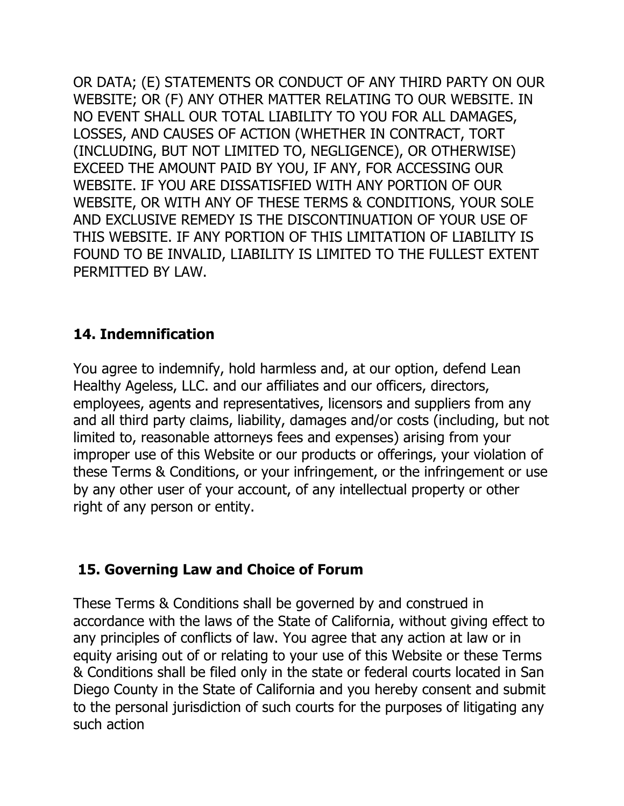OR DATA; (E) STATEMENTS OR CONDUCT OF ANY THIRD PARTY ON OUR WEBSITE; OR (F) ANY OTHER MATTER RELATING TO OUR WEBSITE. IN NO EVENT SHALL OUR TOTAL LIABILITY TO YOU FOR ALL DAMAGES, LOSSES, AND CAUSES OF ACTION (WHETHER IN CONTRACT, TORT (INCLUDING, BUT NOT LIMITED TO, NEGLIGENCE), OR OTHERWISE) EXCEED THE AMOUNT PAID BY YOU, IF ANY, FOR ACCESSING OUR WEBSITE. IF YOU ARE DISSATISFIED WITH ANY PORTION OF OUR WEBSITE, OR WITH ANY OF THESE TERMS & CONDITIONS, YOUR SOLE AND EXCLUSIVE REMEDY IS THE DISCONTINUATION OF YOUR USE OF THIS WEBSITE. IF ANY PORTION OF THIS LIMITATION OF LIABILITY IS FOUND TO BE INVALID, LIABILITY IS LIMITED TO THE FULLEST EXTENT PERMITTED BY LAW.

### **14. Indemnification**

You agree to indemnify, hold harmless and, at our option, defend Lean Healthy Ageless, LLC. and our affiliates and our officers, directors, employees, agents and representatives, licensors and suppliers from any and all third party claims, liability, damages and/or costs (including, but not limited to, reasonable attorneys fees and expenses) arising from your improper use of this Website or our products or offerings, your violation of these Terms & Conditions, or your infringement, or the infringement or use by any other user of your account, of any intellectual property or other right of any person or entity.

## **15. Governing Law and Choice of Forum**

These Terms & Conditions shall be governed by and construed in accordance with the laws of the State of California, without giving effect to any principles of conflicts of law. You agree that any action at law or in equity arising out of or relating to your use of this Website or these Terms & Conditions shall be filed only in the state or federal courts located in San Diego County in the State of California and you hereby consent and submit to the personal jurisdiction of such courts for the purposes of litigating any such action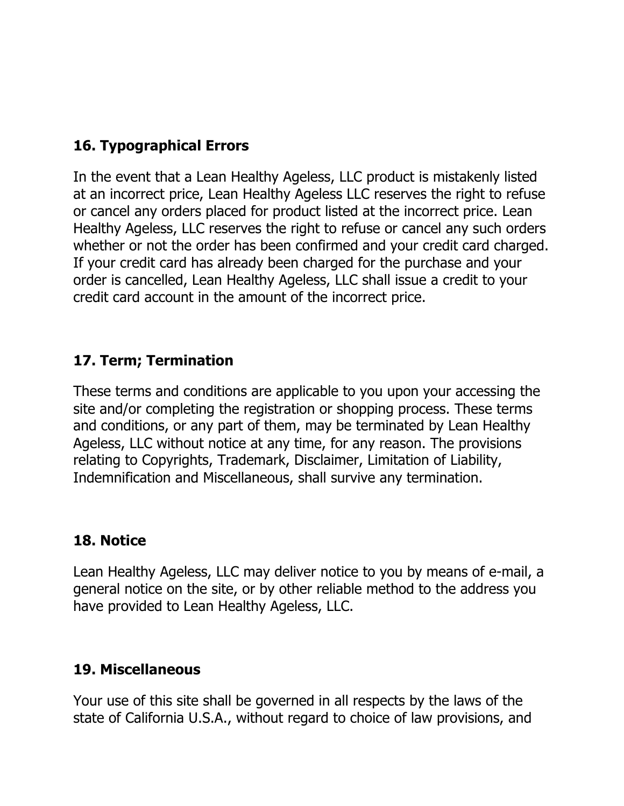# **16. Typographical Errors**

In the event that a Lean Healthy Ageless, LLC product is mistakenly listed at an incorrect price, Lean Healthy Ageless LLC reserves the right to refuse or cancel any orders placed for product listed at the incorrect price. Lean Healthy Ageless, LLC reserves the right to refuse or cancel any such orders whether or not the order has been confirmed and your credit card charged. If your credit card has already been charged for the purchase and your order is cancelled, Lean Healthy Ageless, LLC shall issue a credit to your credit card account in the amount of the incorrect price.

### **17. Term; Termination**

These terms and conditions are applicable to you upon your accessing the site and/or completing the registration or shopping process. These terms and conditions, or any part of them, may be terminated by Lean Healthy Ageless, LLC without notice at any time, for any reason. The provisions relating to Copyrights, Trademark, Disclaimer, Limitation of Liability, Indemnification and Miscellaneous, shall survive any termination.

#### **18. Notice**

Lean Healthy Ageless, LLC may deliver notice to you by means of e-mail, a general notice on the site, or by other reliable method to the address you have provided to Lean Healthy Ageless, LLC.

#### **19. Miscellaneous**

Your use of this site shall be governed in all respects by the laws of the state of California U.S.A., without regard to choice of law provisions, and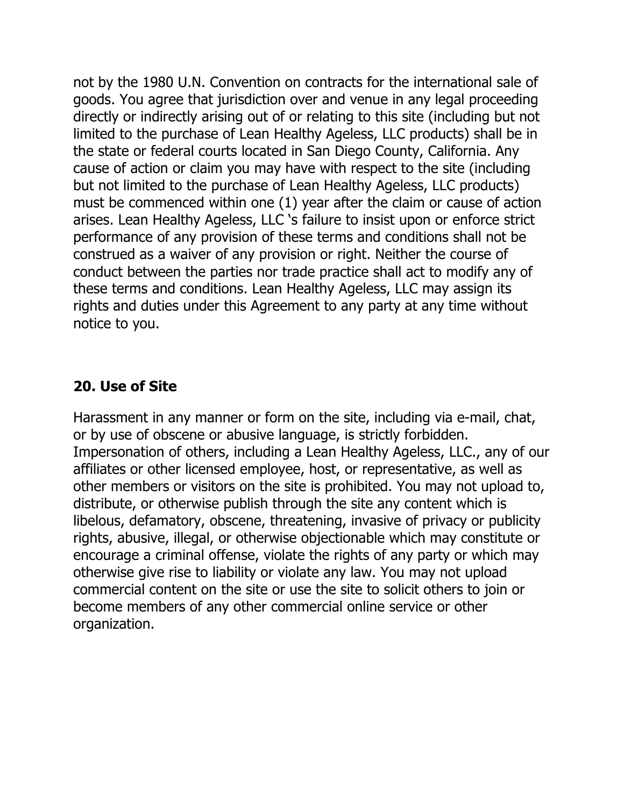not by the 1980 U.N. Convention on contracts for the international sale of goods. You agree that jurisdiction over and venue in any legal proceeding directly or indirectly arising out of or relating to this site (including but not limited to the purchase of Lean Healthy Ageless, LLC products) shall be in the state or federal courts located in San Diego County, California. Any cause of action or claim you may have with respect to the site (including but not limited to the purchase of Lean Healthy Ageless, LLC products) must be commenced within one (1) year after the claim or cause of action arises. Lean Healthy Ageless, LLC 's failure to insist upon or enforce strict performance of any provision of these terms and conditions shall not be construed as a waiver of any provision or right. Neither the course of conduct between the parties nor trade practice shall act to modify any of these terms and conditions. Lean Healthy Ageless, LLC may assign its rights and duties under this Agreement to any party at any time without notice to you.

#### **20. Use of Site**

Harassment in any manner or form on the site, including via e-mail, chat, or by use of obscene or abusive language, is strictly forbidden. Impersonation of others, including a Lean Healthy Ageless, LLC., any of our affiliates or other licensed employee, host, or representative, as well as other members or visitors on the site is prohibited. You may not upload to, distribute, or otherwise publish through the site any content which is libelous, defamatory, obscene, threatening, invasive of privacy or publicity rights, abusive, illegal, or otherwise objectionable which may constitute or encourage a criminal offense, violate the rights of any party or which may otherwise give rise to liability or violate any law. You may not upload commercial content on the site or use the site to solicit others to join or become members of any other commercial online service or other organization.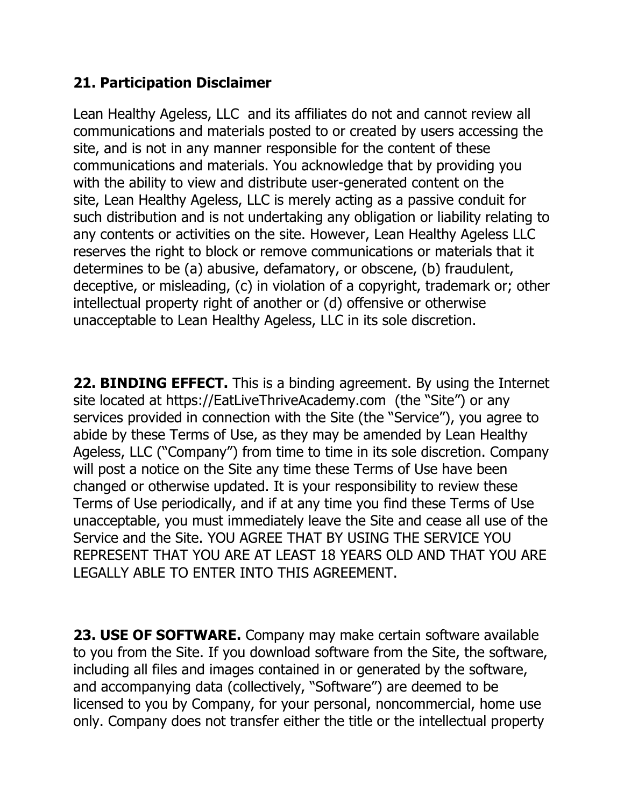## **21. Participation Disclaimer**

Lean Healthy Ageless, LLC and its affiliates do not and cannot review all communications and materials posted to or created by users accessing the site, and is not in any manner responsible for the content of these communications and materials. You acknowledge that by providing you with the ability to view and distribute user-generated content on the site, Lean Healthy Ageless, LLC is merely acting as a passive conduit for such distribution and is not undertaking any obligation or liability relating to any contents or activities on the site. However, Lean Healthy Ageless LLC reserves the right to block or remove communications or materials that it determines to be (a) abusive, defamatory, or obscene, (b) fraudulent, deceptive, or misleading, (c) in violation of a copyright, trademark or; other intellectual property right of another or (d) offensive or otherwise unacceptable to Lean Healthy Ageless, LLC in its sole discretion.

**22. BINDING EFFECT.** This is a binding agreement. By using the Internet site located at https://EatLiveThriveAcademy.com (the "Site") or any services provided in connection with the Site (the "Service"), you agree to abide by these Terms of Use, as they may be amended by Lean Healthy Ageless, LLC ("Company") from time to time in its sole discretion. Company will post a notice on the Site any time these Terms of Use have been changed or otherwise updated. It is your responsibility to review these Terms of Use periodically, and if at any time you find these Terms of Use unacceptable, you must immediately leave the Site and cease all use of the Service and the Site. YOU AGREE THAT BY USING THE SERVICE YOU REPRESENT THAT YOU ARE AT LEAST 18 YEARS OLD AND THAT YOU ARE LEGALLY ABLE TO ENTER INTO THIS AGREEMENT.

**23. USE OF SOFTWARE.** Company may make certain software available to you from the Site. If you download software from the Site, the software, including all files and images contained in or generated by the software, and accompanying data (collectively, "Software") are deemed to be licensed to you by Company, for your personal, noncommercial, home use only. Company does not transfer either the title or the intellectual property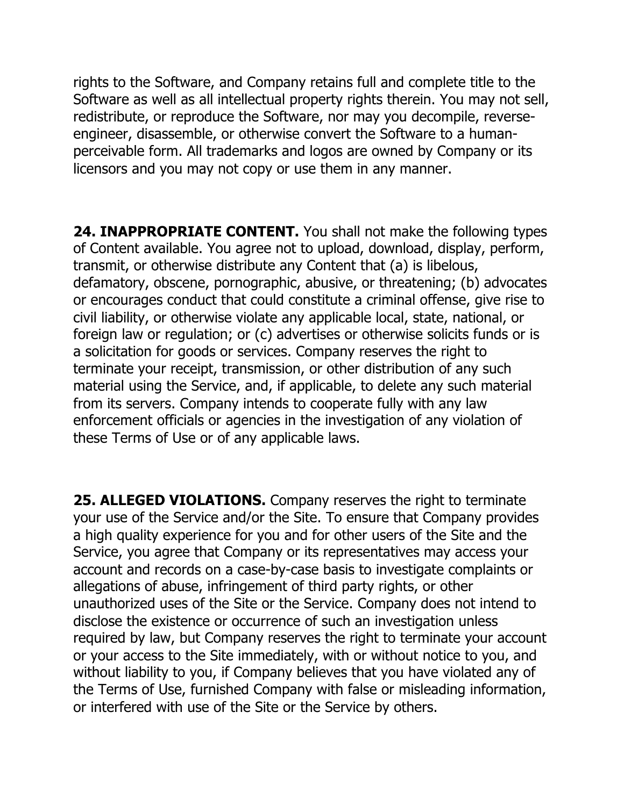rights to the Software, and Company retains full and complete title to the Software as well as all intellectual property rights therein. You may not sell, redistribute, or reproduce the Software, nor may you decompile, reverseengineer, disassemble, or otherwise convert the Software to a humanperceivable form. All trademarks and logos are owned by Company or its licensors and you may not copy or use them in any manner.

**24. INAPPROPRIATE CONTENT.** You shall not make the following types of Content available. You agree not to upload, download, display, perform, transmit, or otherwise distribute any Content that (a) is libelous, defamatory, obscene, pornographic, abusive, or threatening; (b) advocates or encourages conduct that could constitute a criminal offense, give rise to civil liability, or otherwise violate any applicable local, state, national, or foreign law or regulation; or (c) advertises or otherwise solicits funds or is a solicitation for goods or services. Company reserves the right to terminate your receipt, transmission, or other distribution of any such material using the Service, and, if applicable, to delete any such material from its servers. Company intends to cooperate fully with any law enforcement officials or agencies in the investigation of any violation of these Terms of Use or of any applicable laws.

**25. ALLEGED VIOLATIONS.** Company reserves the right to terminate your use of the Service and/or the Site. To ensure that Company provides a high quality experience for you and for other users of the Site and the Service, you agree that Company or its representatives may access your account and records on a case-by-case basis to investigate complaints or allegations of abuse, infringement of third party rights, or other unauthorized uses of the Site or the Service. Company does not intend to disclose the existence or occurrence of such an investigation unless required by law, but Company reserves the right to terminate your account or your access to the Site immediately, with or without notice to you, and without liability to you, if Company believes that you have violated any of the Terms of Use, furnished Company with false or misleading information, or interfered with use of the Site or the Service by others.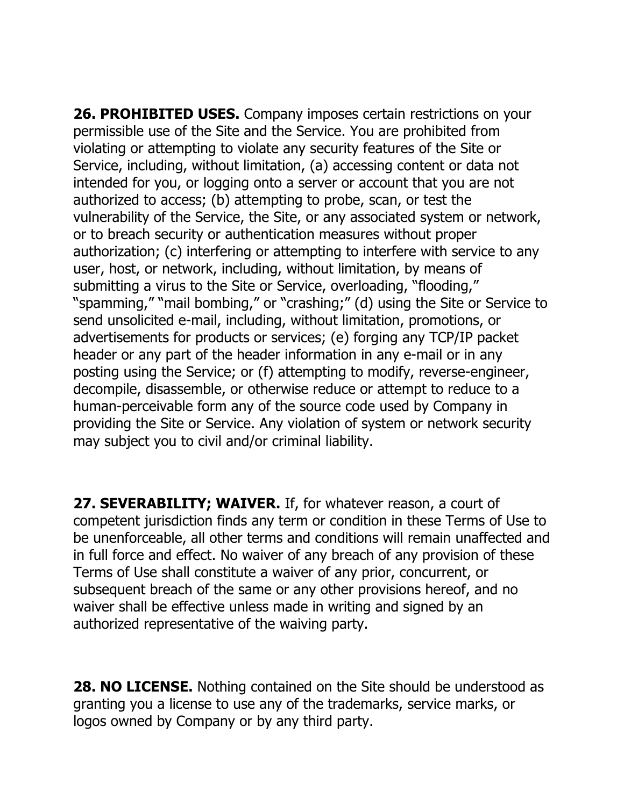**26. PROHIBITED USES.** Company imposes certain restrictions on your permissible use of the Site and the Service. You are prohibited from violating or attempting to violate any security features of the Site or Service, including, without limitation, (a) accessing content or data not intended for you, or logging onto a server or account that you are not authorized to access; (b) attempting to probe, scan, or test the vulnerability of the Service, the Site, or any associated system or network, or to breach security or authentication measures without proper authorization; (c) interfering or attempting to interfere with service to any user, host, or network, including, without limitation, by means of submitting a virus to the Site or Service, overloading, "flooding," "spamming," "mail bombing," or "crashing;" (d) using the Site or Service to send unsolicited e-mail, including, without limitation, promotions, or advertisements for products or services; (e) forging any TCP/IP packet header or any part of the header information in any e-mail or in any posting using the Service; or (f) attempting to modify, reverse-engineer, decompile, disassemble, or otherwise reduce or attempt to reduce to a human-perceivable form any of the source code used by Company in providing the Site or Service. Any violation of system or network security may subject you to civil and/or criminal liability.

**27. SEVERABILITY; WAIVER.** If, for whatever reason, a court of competent jurisdiction finds any term or condition in these Terms of Use to be unenforceable, all other terms and conditions will remain unaffected and in full force and effect. No waiver of any breach of any provision of these Terms of Use shall constitute a waiver of any prior, concurrent, or subsequent breach of the same or any other provisions hereof, and no waiver shall be effective unless made in writing and signed by an authorized representative of the waiving party.

**28. NO LICENSE.** Nothing contained on the Site should be understood as granting you a license to use any of the trademarks, service marks, or logos owned by Company or by any third party.